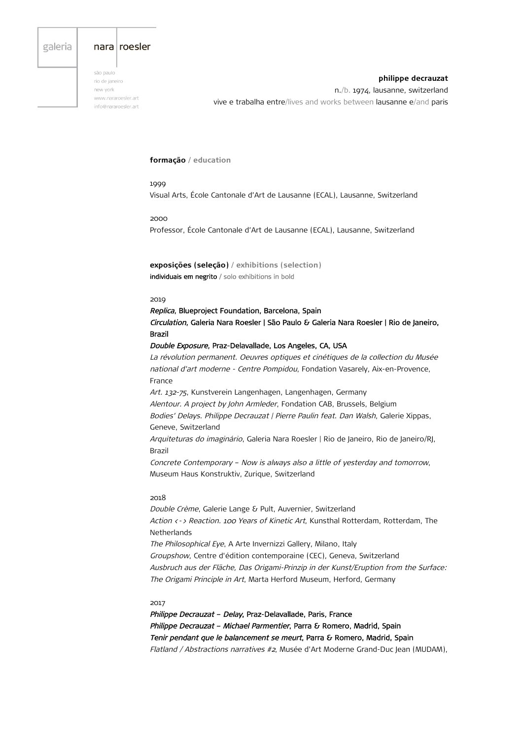# galeria

# nara roesler

são paulo rio de janeiro new vork www.nararoesler.art info@nararoesler.art

**philippe decrauzat** n./b. 1974, lausanne, switzerland vive e trabalha entre/lives and works between lausanne e/and paris

## **formação / education**

1999 Visual Arts, École Cantonale d'Art de Lausanne (ECAL), Lausanne, Switzerland

2000 Professor, École Cantonale d'Art de Lausanne (ECAL), Lausanne, Switzerland

**exposições (seleção) / exhibitions (selection)** individuais em negrito / solo exhibitions in bold

#### 2019

Replica, Blueproject Foundation, Barcelona, Spain Circulation, Galeria Nara Roesler | São Paulo & Galeria Nara Roesler | Rio de Janeiro, Brazil

Double Exposure, Praz-Delavallade, Los Angeles, CA, USA

La révolution permanent. Oeuvres optiques et cinétiques de la collection du Musée national d'art moderne - Centre Pompidou, Fondation Vasarely, Aix-en-Provence, France Art. 132-75, Kunstverein Langenhagen, Langenhagen, Germany Alentour. A project by John Armleder, Fondation CAB, Brussels, Belgium Bodies' Delays. Philippe Decrauzat | Pierre Paulin feat. Dan Walsh, Galerie Xippas, Geneve, Switzerland

Arquiteturas do imaginário, Galeria Nara Roesler | Rio de Janeiro, Rio de Janeiro/RJ, Brazil

Concrete Contemporary – Now is always also a little of yesterday and tomorrow, Museum Haus Konstruktiv, Zurique, Switzerland

# 2018

Double Crème, Galerie Lange & Pult, Auvernier, Switzerland Action <-> Reaction. 100 Years of Kinetic Art, Kunsthal Rotterdam, Rotterdam, The Netherlands The Philosophical Eye, A Arte Invernizzi Gallery, Milano, Italy Groupshow, Centre d'édition contemporaine (CEC), Geneva, Switzerland Ausbruch aus der Fläche, Das Origami-Prinzip in der Kunst/Eruption from the Surface: The Origami Principle in Art, Marta Herford Museum, Herford, Germany

#### 2017

Philippe Decrauzat - Delay, Praz-Delavallade, Paris, France Philippe Decrauzat - Michael Parmentier, Parra & Romero, Madrid, Spain Tenir pendant que le balancement se meurt, Parra & Romero, Madrid, Spain Flatland / Abstractions narratives #2, Musée d'Art Moderne Grand-Duc Jean (MUDAM),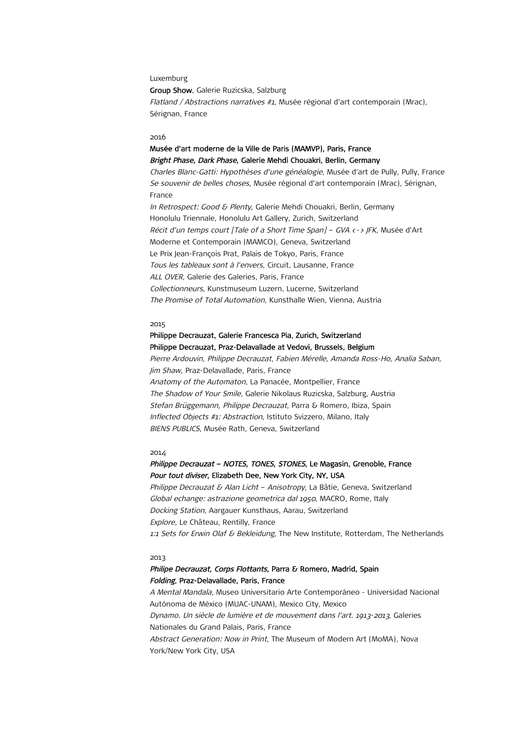#### Luxemburg

Group Show, Galerie Ruzicska, Salzburg Flatland / Abstractions narratives #1, Musée régional d'art contemporain (Mrac), Sérignan, France

#### 2016

# Musée d'art moderne de la Ville de Paris (MAMVP), Paris, France Bright Phase, Dark Phase, Galerie Mehdi Chouakri, Berlin, Germany

Charles Blanc-Gatti: Hypothèses d'une généalogie, Musée d'art de Pully, Pully, France Se souvenir de belles choses, Musée régional d'art contemporain (Mrac), Sérignan, France In Retrospect: Good & Plenty, Galerie Mehdi Chouakri, Berlin, Germany Honolulu Triennale, Honolulu Art Gallery, Zurich, Switzerland Récit d'un temps court [Tale of a Short Time Span] – GVA <-> JFK, Musée d'Art Moderne et Contemporain (MAMCO), Geneva, Switzerland Le Prix Jean-François Prat, Palais de Tokyo, Paris, France Tous les tableaux sont à l'envers, Circuit, Lausanne, France ALL OVER, Galerie des Galeries, Paris, France Collectionneurs, Kunstmuseum Luzern, Lucerne, Switzerland The Promise of Total Automation, Kunsthalle Wien, Vienna, Austria

#### 2015

# Philippe Decrauzat, Galerie Francesca Pia, Zurich, Switzerland Philippe Decrauzat, Praz-Delavallade at Vedovi, Brussels, Belgium

Pierre Ardouvin, Philippe Decrauzat, Fabien Mérelle, Amanda Ross-Ho, Analia Saban, Jim Shaw, Praz-Delavallade, Paris, France Anatomy of the Automaton, La Panacée, Montpellier, France The Shadow of Your Smile, Galerie Nikolaus Ruzicska, Salzburg, Austria Stefan Brüggemann, Philippe Decrauzat, Parra & Romero, Ibiza, Spain Inflected Objects #1: Abstraction, Istituto Svizzero, Milano, Italy BIENS PUBLICS, Musée Rath, Geneva, Switzerland

#### 2014

# Philippe Decrauzat - NOTES, TONES, STONES, Le Magasin, Grenoble, France Pour tout diviser, Elizabeth Dee, New York City, NY, USA

Philippe Decrauzat & Alan Licht – Anisotropy, La Bâtie, Geneva, Switzerland Global echange: astrazione geometrica dal 1950, MACRO, Rome, Italy Docking Station, Aargauer Kunsthaus, Aarau, Switzerland Explore, Le Château, Rentilly, France 1:1 Sets for Erwin Olaf & Bekleidung, The New Institute, Rotterdam, The Netherlands

#### 2013

# Philipe Decrauzat, Corps Flottants, Parra & Romero, Madrid, Spain Folding, Praz-Delavallade, Paris, France

A Mental Mandala, Museo Universitario Arte Contemporáneo - Universidad Nacional Autónoma de México (MUAC-UNAM), Mexico City, Mexico Dynamo. Un siècle de lumière et de mouvement dans l'art. 1913-2013, Galeries Nationales du Grand Palais, Paris, France Abstract Generation: Now in Print, The Museum of Modern Art (MoMA), Nova York/New York City, USA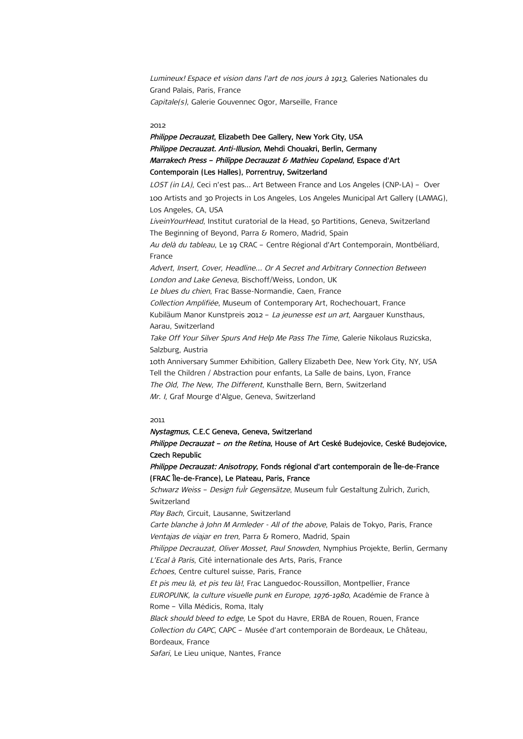Lumineux! Espace et vision dans l'art de nos jours à 1913, Galeries Nationales du Grand Palais, Paris, France Capitale(s), Galerie Gouvennec Ogor, Marseille, France

## 2012

Philippe Decrauzat, Elizabeth Dee Gallery, New York City, USA Philippe Decrauzat. Anti-Illusion, Mehdi Chouakri, Berlin, Germany Marrakech Press – Philippe Decrauzat & Mathieu Copeland, Espace d'Art Contemporain (Les Halles), Porrentruy, Switzerland

LOST (in LA), Ceci n'est pas... Art Between France and Los Angeles (CNP-LA) - Over 100 Artists and 30 Projects in Los Angeles, Los Angeles Municipal Art Gallery (LAMAG), Los Angeles, CA, USA LiveinYourHead, Institut curatorial de la Head, 50 Partitions, Geneva, Switzerland The Beginning of Beyond, Parra & Romero, Madrid, Spain Au delà du tableau, Le 19 CRAC - Centre Régional d'Art Contemporain, Montbéliard, France Advert, Insert, Cover, Headline... Or A Secret and Arbitrary Connection Between London and Lake Geneva, Bischoff/Weiss, London, UK Le blues du chien, Frac Basse-Normandie, Caen, France Collection Amplifiée, Museum of Contemporary Art, Rochechouart, France Kubiläum Manor Kunstpreis 2012 – La jeunesse est un art, Aargauer Kunsthaus, Aarau, Switzerland Take Off Your Silver Spurs And Help Me Pass The Time, Galerie Nikolaus Ruzicska, Salzburg, Austria 10th Anniversary Summer Exhibition, Gallery Elizabeth Dee, New York City, NY, USA Tell the Children / Abstraction pour enfants, La Salle de bains, Lyon, France The Old, The New, The Different, Kunsthalle Bern, Bern, Switzerland Mr. I, Graf Mourge d'Algue, Geneva, Switzerland

## 2011

#### Nystagmus, C.E.C Geneva, Geneva, Switzerland

Philippe Decrauzat - on the Retina, House of Art Ceské Budejovice, Ceské Budejovice, Czech Republic

Philippe Decrauzat: Anisotropy, Fonds régional d'art contemporain de Île-de-France (FRAC Île-de-France), Le Plateau, Paris, France

Schwarz Weiss - Design fulr Gegensätze, Museum fulr Gestaltung Zulrich, Zurich, **Switzerland** 

Play Bach, Circuit, Lausanne, Switzerland

Carte blanche à John M Armleder - All of the above, Palais de Tokyo, Paris, France Ventajas de viajar en tren, Parra & Romero, Madrid, Spain

Philippe Decrauzat, Oliver Mosset, Paul Snowden, Nymphius Projekte, Berlin, Germany L'Ecal à Paris, Cité internationale des Arts, Paris, France

Echoes, Centre culturel suisse, Paris, France

Et pis meu là, et pis teu là!, Frac Languedoc-Roussillon, Montpellier, France EUROPUNK, la culture visuelle punk en Europe, 1976-1980, Académie de France à Rome – Villa Médicis, Roma, Italy

Black should bleed to edge, Le Spot du Havre, ERBA de Rouen, Rouen, France Collection du CAPC, CAPC – Musée d'art contemporain de Bordeaux, Le Château, Bordeaux, France

Safari, Le Lieu unique, Nantes, France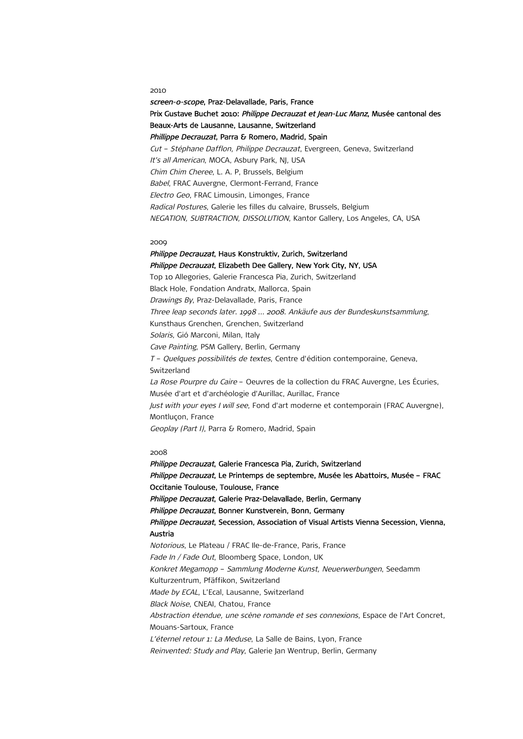## 2010

screen-o-scope, Praz-Delavallade, Paris, France Prix Gustave Buchet 2010: Philippe Decrauzat et Jean-Luc Manz, Musée cantonal des Beaux-Arts de Lausanne, Lausanne, Switzerland Phillippe Decrauzat, Parra & Romero, Madrid, Spain Cut – Stéphane Dafflon, Philippe Decrauzat, Evergreen, Geneva, Switzerland It's all American, MOCA, Asbury Park, NJ, USA Chim Chim Cheree, L. A. P, Brussels, Belgium Babel, FRAC Auvergne, Clermont-Ferrand, France Electro Geo, FRAC Limousin, Limonges, France Radical Postures, Galerie les filles du calvaire, Brussels, Belgium NEGATION, SUBTRACTION, DISSOLUTION, Kantor Gallery, Los Angeles, CA, USA

### 2009

Philippe Decrauzat, Haus Konstruktiv, Zurich, Switzerland Philippe Decrauzat, Elizabeth Dee Gallery, New York City, NY, USA Top 10 Allegories, Galerie Francesca Pia, Zurich, Switzerland Black Hole, Fondation Andratx, Mallorca, Spain Drawings By, Praz-Delavallade, Paris, France Three leap seconds later. 1998 … 2008. Ankäufe aus der Bundeskunstsammlung, Kunsthaus Grenchen, Grenchen, Switzerland Solaris, Gió Marconi, Milan, Italy Cave Painting, PSM Gallery, Berlin, Germany T – Quelques possibilités de textes, Centre d'édition contemporaine, Geneva, Switzerland La Rose Pourpre du Caire - Oeuvres de la collection du FRAC Auvergne, Les Écuries, Musée d'art et d'archéologie d'Aurillac, Aurillac, France Just with your eyes I will see, Fond d'art moderne et contemporain (FRAC Auvergne), Montluçon, France Geoplay (Part I), Parra & Romero, Madrid, Spain

#### 2008

Philippe Decrauzat, Galerie Francesca Pia, Zurich, Switzerland Philippe Decrauzat, Le Printemps de septembre, Musée les Abattoirs, Musée - FRAC Occitanie Toulouse, Toulouse, France Philippe Decrauzat, Galerie Praz-Delavallade, Berlin, Germany Philippe Decrauzat, Bonner Kunstverein, Bonn, Germany Philippe Decrauzat, Secession, Association of Visual Artists Vienna Secession, Vienna, Austria Notorious, Le Plateau / FRAC Ile-de-France, Paris, France Fade In / Fade Out, Bloomberg Space, London, UK Konkret Megamopp – Sammlung Moderne Kunst, Neuerwerbungen, Seedamm Kulturzentrum, Pfäffikon, Switzerland Made by ECAL, L'Ecal, Lausanne, Switzerland Black Noise, CNEAI, Chatou, France Abstraction étendue, une scène romande et ses connexions, Espace de l'Art Concret, Mouans-Sartoux, France L'éternel retour 1: La Meduse, La Salle de Bains, Lyon, France Reinvented: Study and Play, Galerie Jan Wentrup, Berlin, Germany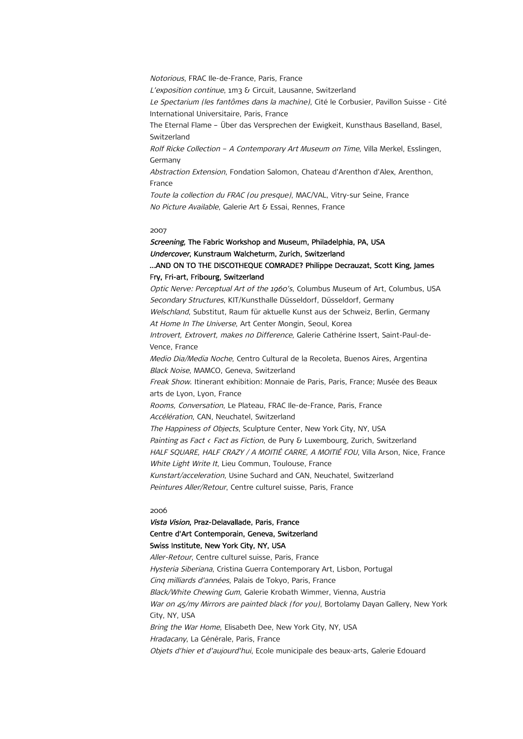Notorious, FRAC Ile-de-France, Paris, France L'exposition continue, 1m3 & Circuit, Lausanne, Switzerland Le Spectarium (les fantômes dans la machine), Cité le Corbusier, Pavillon Suisse - Cité International Universitaire, Paris, France The Eternal Flame – Über das Versprechen der Ewigkeit, Kunsthaus Baselland, Basel, Switzerland Rolf Ricke Collection – A Contemporary Art Museum on Time, Villa Merkel, Esslingen, Germany Abstraction Extension, Fondation Salomon, Chateau d'Arenthon d'Alex, Arenthon, France Toute la collection du FRAC (ou presque), MAC/VAL, Vitry-sur Seine, France No Picture Available, Galerie Art & Essai, Rennes, France

#### 2007

# Screening, The Fabric Workshop and Museum, Philadelphia, PA, USA Undercover, Kunstraum Walcheturm, Zurich, Switzerland …AND ON TO THE DISCOTHEQUE COMRADE? Philippe Decrauzat, Scott King, James

# Fry, Fri-art, Fribourg, Switzerland

Optic Nerve: Perceptual Art of the 1960's, Columbus Museum of Art, Columbus, USA Secondary Structures, KIT/Kunsthalle Düsseldorf, Düsseldorf, Germany Welschland, Substitut, Raum für aktuelle Kunst aus der Schweiz, Berlin, Germany At Home In The Universe, Art Center Mongin, Seoul, Korea Introvert, Extrovert, makes no Difference, Galerie Cathérine Issert, Saint-Paul-de-Vence, France Medio Dia/Media Noche, Centro Cultural de la Recoleta, Buenos Aires, Argentina Black Noise, MAMCO, Geneva, Switzerland Freak Show. Itinerant exhibition: Monnaie de Paris, Paris, France; Musée des Beaux arts de Lyon, Lyon, France Rooms, Conversation, Le Plateau, FRAC Ile-de-France, Paris, France Accélération, CAN, Neuchatel, Switzerland The Happiness of Objects, Sculpture Center, New York City, NY, USA Painting as Fact < Fact as Fiction, de Pury & Luxembourg, Zurich, Switzerland HALF SQUARE, HALF CRAZY / A MOITIÉ CARRE, A MOITIÉ FOU, Villa Arson, Nice, France White Light Write It, Lieu Commun, Toulouse, France Kunstart/acceleration, Usine Suchard and CAN, Neuchatel, Switzerland Peintures Aller/Retour, Centre culturel suisse, Paris, France

#### 2006

# Vista Vision, Praz-Delavallade, Paris, France Centre d'Art Contemporain, Geneva, Switzerland Swiss Institute, New York City, NY, USA

Aller-Retour, Centre culturel suisse, Paris, France Hysteria Siberiana, Cristina Guerra Contemporary Art, Lisbon, Portugal Cinq milliards d'années, Palais de Tokyo, Paris, France Black/White Chewing Gum, Galerie Krobath Wimmer, Vienna, Austria War on 45/my Mirrors are painted black (for you), Bortolamy Dayan Gallery, New York City, NY, USA Bring the War Home, Elisabeth Dee, New York City, NY, USA Hradacany, La Générale, Paris, France Objets d'hier et d'aujourd'hui, Ecole municipale des beaux-arts, Galerie Edouard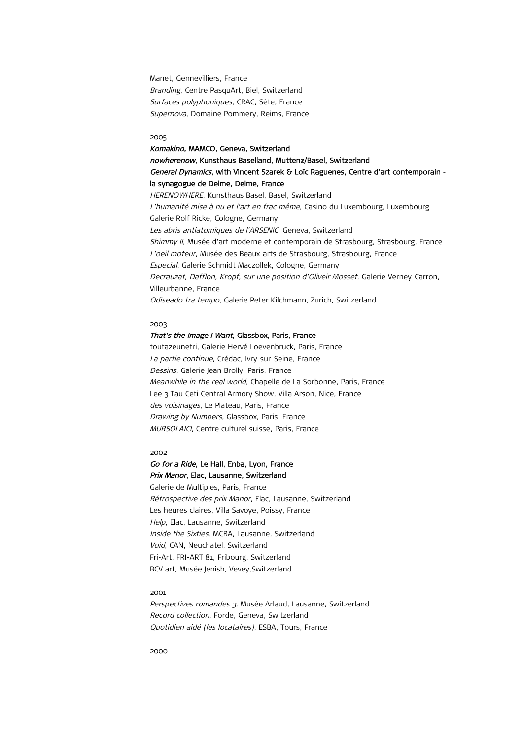Manet, Gennevilliers, France Branding, Centre PasquArt, Biel, Switzerland Surfaces polyphoniques, CRAC, Sète, France Supernova, Domaine Pommery, Reims, France

#### 2005

Komakino, MAMCO, Geneva, Switzerland nowherenow, Kunsthaus Baselland, Muttenz/Basel, Switzerland General Dynamics, with Vincent Szarek & Loïc Raguenes, Centre d'art contemporain la synagogue de Delme, Delme, France HERENOWHERE, Kunsthaus Basel, Basel, Switzerland L'humanité mise à nu et l'art en frac même, Casino du Luxembourg, Luxembourg Galerie Rolf Ricke, Cologne, Germany Les abris antiatomiques de l'ARSENIC, Geneva, Switzerland Shimmy II, Musée d'art moderne et contemporain de Strasbourg, Strasbourg, France L'oeil moteur, Musée des Beaux-arts de Strasbourg, Strasbourg, France Especial, Galerie Schmidt Maczollek, Cologne, Germany Decrauzat, Dafflon, Kropf, sur une position d'Oliveir Mosset, Galerie Verney-Carron, Villeurbanne, France Odiseado tra tempo, Galerie Peter Kilchmann, Zurich, Switzerland

#### 2003

### That's the Image I Want, Glassbox, Paris, France

toutazeunetri, Galerie Hervé Loevenbruck, Paris, France La partie continue, Crédac, Ivry-sur-Seine, France Dessins, Galerie Jean Brolly, Paris, France Meanwhile in the real world, Chapelle de La Sorbonne, Paris, France Lee 3 Tau Ceti Central Armory Show, Villa Arson, Nice, France des voisinages, Le Plateau, Paris, France Drawing by Numbers, Glassbox, Paris, France MURSOLAICI, Centre culturel suisse, Paris, France

#### 2002

# Go for a Ride, Le Hall, Enba, Lyon, France Prix Manor, Elac, Lausanne, Switzerland

Galerie de Multiples, Paris, France Rétrospective des prix Manor, Elac, Lausanne, Switzerland Les heures claires, Villa Savoye, Poissy, France Help, Elac, Lausanne, Switzerland Inside the Sixties, MCBA, Lausanne, Switzerland Void, CAN, Neuchatel, Switzerland Fri-Art, FRI-ART 81, Fribourg, Switzerland BCV art, Musée Jenish, Vevey,Switzerland

### 2001

Perspectives romandes 3, Musée Arlaud, Lausanne, Switzerland Record collection, Forde, Geneva, Switzerland Quotidien aidé (les locataires), ESBA, Tours, France

2000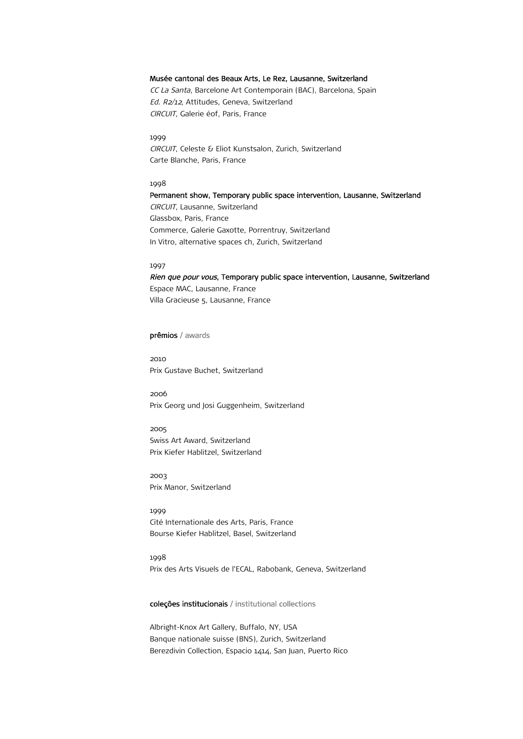## Musée cantonal des Beaux Arts, Le Rez, Lausanne, Switzerland

CC La Santa, Barcelone Art Contemporain (BAC), Barcelona, Spain Ed. R2/12, Attitudes, Geneva, Switzerland CIRCUIT, Galerie éof, Paris, France

1999 CIRCUIT, Celeste & Eliot Kunstsalon, Zurich, Switzerland Carte Blanche, Paris, France

### 1998

Permanent show, Temporary public space intervention, Lausanne, Switzerland CIRCUIT, Lausanne, Switzerland Glassbox, Paris, France Commerce, Galerie Gaxotte, Porrentruy, Switzerland In Vitro, alternative spaces ch, Zurich, Switzerland

## 1997

Rien que pour vous, Temporary public space intervention, Lausanne, Switzerland

Espace MAC, Lausanne, France Villa Gracieuse 5, Lausanne, France

# prêmios / awards

2010 Prix Gustave Buchet, Switzerland

2006 Prix Georg und Josi Guggenheim, Switzerland

2005 Swiss Art Award, Switzerland Prix Kiefer Hablitzel, Switzerland

2003 Prix Manor, Switzerland

1999 Cité Internationale des Arts, Paris, France Bourse Kiefer Hablitzel, Basel, Switzerland

1998 Prix des Arts Visuels de l'ECAL, Rabobank, Geneva, Switzerland

coleções institucionais / institutional collections

Albright-Knox Art Gallery, Buffalo, NY, USA Banque nationale suisse (BNS), Zurich, Switzerland Berezdivin Collection, Espacio 1414, San Juan, Puerto Rico